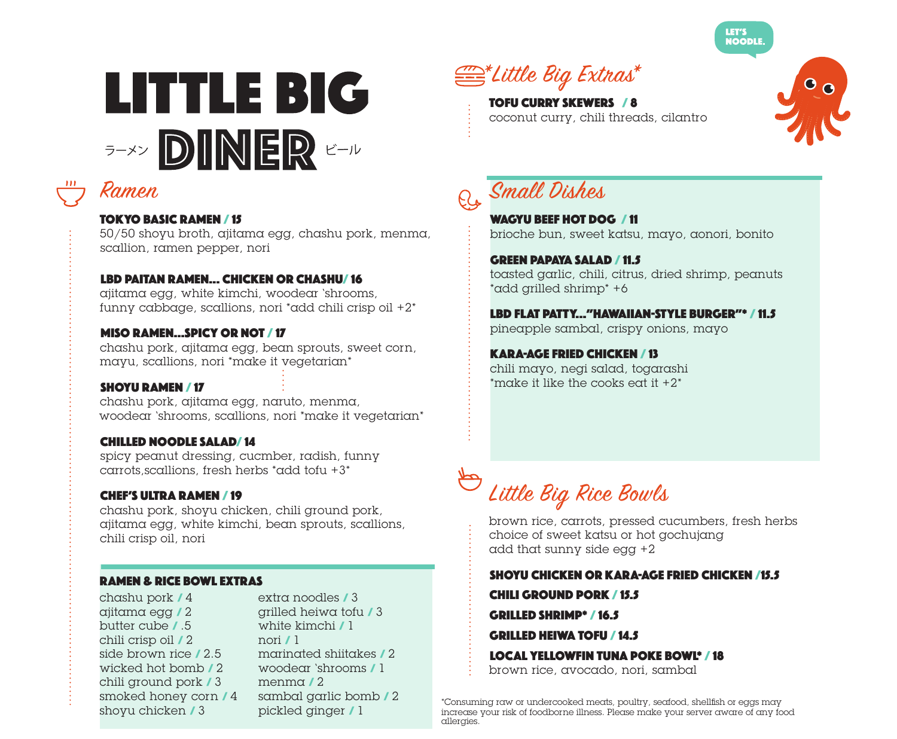





### TOKYO BASIC RAMEN / 15

50/50 shoyu broth, ajitama egg, chashu pork, menma, scallion, ramen pepper, nori

### LBD PAITAN RAMEN... CHICKEN OR CHASHU/ 16

ajitama egg, white kimchi, woodear 'shrooms, funny cabbage, scallions, nori \*add chili crisp oil  $+2^*$ 

### MISO RAMEN…SPICY OR NOT / 17

chashu pork, ajitama egg, bean sprouts, sweet corn, mayu, scallions, nori \*make it vegetarian\*

### SHOYU RAMEN / 17

chashu pork, ajitama egg, naruto, menma, woodear 'shrooms, scallions, nori \*make it vegetarian\*

### CHILLED NOODLE SALAD/ 14

spicy peanut dressing, cucmber, radish, funny carrots, scallions, fresh herbs \*add tofu  $+3$ \*

### CHEF'S ULTRA RAMEN / 19

chashu pork, shoyu chicken, chili ground pork, ajitama egg, white kimchi, bean sprouts, scallions, chili crisp oil, nori

### RAMEN & RICE BOWL EXTRAS

chashu pork / 4 ajitama egg / 2 butter cube / .5 chili crisp oil / 2 side brown rice / 2.5 wicked hot bomb / 2 chili ground pork / 3 smoked honey corn / 4 shoyu chicken / 3

extra noodles / 3 grilled heiwa tofu / 3 white kimchi / 1 nori / 1 marinated shiitakes / 2 woodear 'shrooms / 1 menma / 2 sambal garlic bomb / 2 pickled ginger / 1



TOFU CURRY SKEWERS / 8 coconut curry, chili threads, cilantro



# Q, Small Dishes

WAGYU BEEF HOT DOG / 11 brioche bun, sweet katsu, mayo, aonori, bonito

GREEN PAPAYA SALAD / 11.5 toasted garlic, chili, citrus, dried shrimp, peanuts \*add grilled shrimp\* +6

LBD FLAT PATTY..."HAWAIIAN-STYLE BURGER"\* / 11.5 pineapple sambal, crispy onions, mayo

KARA-AGE FRIED CHICKEN / 13 chili mayo, negi salad, togarashi \*make it like the cooks eat it  $+2$ \*

# Little Big Rice Bowls

brown rice, carrots, pressed cucumbers, fresh herbs choice of sweet katsu or hot gochujang add that sunny side egg +2

SHOYU CHICKEN OR KARA-AGE FRIED CHICKEN /15.5

CHILI GROUND PORK / 15.5

GRILLED SHRIMP\* / 16.5

GRILLED HEIWA TOFU / 14.5

LOCAL YELLOWFIN TUNA POKE BOWL\* / 18 brown rice, avocado, nori, sambal

\*Consuming raw or undercooked meats, poultry, seafood, shellfish or eggs may increase your risk of foodborne illness. Please make your server aware of any food allergies.